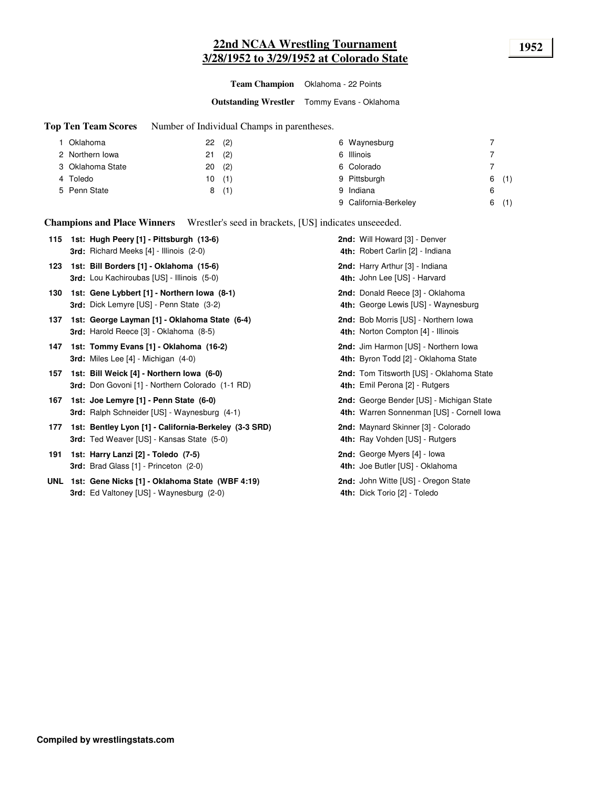# **22nd NCAA Wrestling Tournament 1952 3/28/1952 to 3/29/1952 at Colorado State**

**Team Champion** Oklahoma - 22 Points

**Outstanding Wrestler** Tommy Evans - Oklahoma

**Top Ten Team Scores** Number of Individual Champs in parentheses.

| I Oklahoma       | (2)<br>22 | 6 Waynesburg          |          |
|------------------|-----------|-----------------------|----------|
| 2 Northern Iowa  | (2)<br>21 | 6 Illinois            |          |
| 3 Oklahoma State | (2)<br>20 | 6 Colorado            |          |
| 4 Toledo         | 10(1)     | 9 Pittsburgh          | (1)<br>6 |
| 5 Penn State     | (1)<br>8  | 9 Indiana             | 6        |
|                  |           | 9 California-Berkeley | (1)<br>6 |

**Champions and Place Winners** Wrestler's seed in brackets, [US] indicates unseeeded.

**115 1st: Hugh Peery [1] · Pittsburgh (13-6) Note that Mill Howard [3] · Denver** 4th: Robert Carlin [2] - Indiana **3rd:** Richard Meeks [4] - Illinois (2-0) **123 1st: Bill Borders [1] - Oklahoma (15-6) <b>Harry Arthur** (3) - Indiana 4th: John Lee [US] - Harvard **3rd:** Lou Kachiroubas [US] - Illinois (5-0) **4th: 130 Gene Lybbert [1] - Northern Iowa (8-1)** Donald Reece [3] - Oklahoma **1st: 2nd:** 4th: George Lewis [US] - Waynesburg **3rd:** Dick Lemyre [US] - Penn State (3-2) **4th: 137 1st: George Layman [1] - Oklahoma State (6-4) <b>Bob Propic State** (6-4) **Bob Morris [US] - Northern Iowa** 4th: Norton Compton [4] - Illinois **3rd:** Harold Reece [3] - Oklahoma (8-5) **4th: 147 Tommy Evans [1] - Oklahoma (16-2)** Jim Harmon [US] - Northern Iowa **1st: 2nd:** 4th: Byron Todd [2] - Oklahoma State **3rd:** Miles Lee [4] - Michigan (4-0) **157 Bill Weick [4] - Northern Iowa (6-0)** Tom Titsworth [US] - Oklahoma State **1st: 2nd:** 4th: Emil Perona [2] - Rutgers 3rd: Don Govoni [1] - Northern Colorado (1-1 RD) **167 1st: Joe Lemyre [1] - Penn State (6-0) George Bender (US] - Michigan State George Bender [US] - Michigan State** 4th: Warren Sonnenman [US] - Cornell Iowa 3rd: Ralph Schneider [US] - Waynesburg (4-1) **177 1st: Bentley Lyon [1] - California-Berkeley (3-3 SRD) <b>2nd:** Maynard Skinner [3] - Colorado 4th: Ray Vohden [US] - Rutgers **3rd:** Ted Weaver [US] - Kansas State (5-0) **4th: 191 Tst: Harry Lanzi [2] - Toledo (7-5) George Myers [4] - Iowa George Myers [4] - Iowa** 4th: Joe Butler [US] - Oklahoma **3rd:** Brad Glass [1] - Princeton (2-0) **4th: UNL 1st: Gene Nicks [1] - Oklahoma State (WBF 4:19) <b>Discript and August 2nd:** John Witte [US] - Oregon State 4th: Dick Torio [2] - Toledo 3rd: Ed Valtoney [US] - Waynesburg (2-0)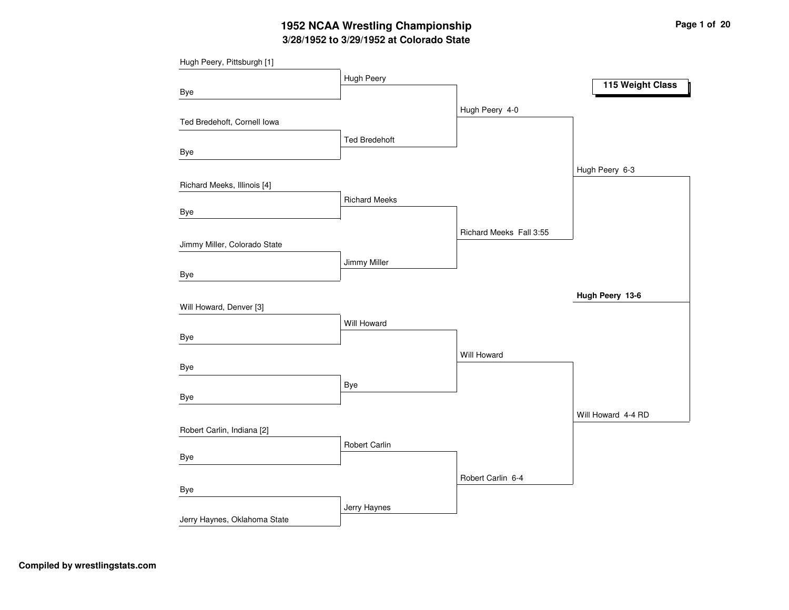# **3/28/1952 to 3/29/1952 at Colorado State 1952 NCAA Wrestling Championship Page <sup>1</sup> of <sup>20</sup>**

| Hugh Peery, Pittsburgh [1]   |                      |                         |                    |
|------------------------------|----------------------|-------------------------|--------------------|
|                              | Hugh Peery           |                         | 115 Weight Class   |
| Bye                          |                      |                         |                    |
|                              |                      | Hugh Peery 4-0          |                    |
| Ted Bredehoft, Cornell Iowa  |                      |                         |                    |
|                              | <b>Ted Bredehoft</b> |                         |                    |
| Bye                          |                      |                         |                    |
|                              |                      |                         | Hugh Peery 6-3     |
| Richard Meeks, Illinois [4]  |                      |                         |                    |
|                              | <b>Richard Meeks</b> |                         |                    |
| Bye                          |                      |                         |                    |
|                              |                      | Richard Meeks Fall 3:55 |                    |
| Jimmy Miller, Colorado State |                      |                         |                    |
|                              | Jimmy Miller         |                         |                    |
| Bye                          |                      |                         |                    |
|                              |                      |                         | Hugh Peery 13-6    |
| Will Howard, Denver [3]      |                      |                         |                    |
|                              | Will Howard          |                         |                    |
| Bye                          |                      |                         |                    |
|                              |                      | Will Howard             |                    |
| Bye                          |                      |                         |                    |
|                              | Bye                  |                         |                    |
| Bye                          |                      |                         |                    |
|                              |                      |                         | Will Howard 4-4 RD |
| Robert Carlin, Indiana [2]   |                      |                         |                    |
|                              | Robert Carlin        |                         |                    |
| Bye                          |                      |                         |                    |
|                              |                      | Robert Carlin 6-4       |                    |
| Bye                          |                      |                         |                    |
|                              | Jerry Haynes         |                         |                    |
| Jerry Haynes, Oklahoma State |                      |                         |                    |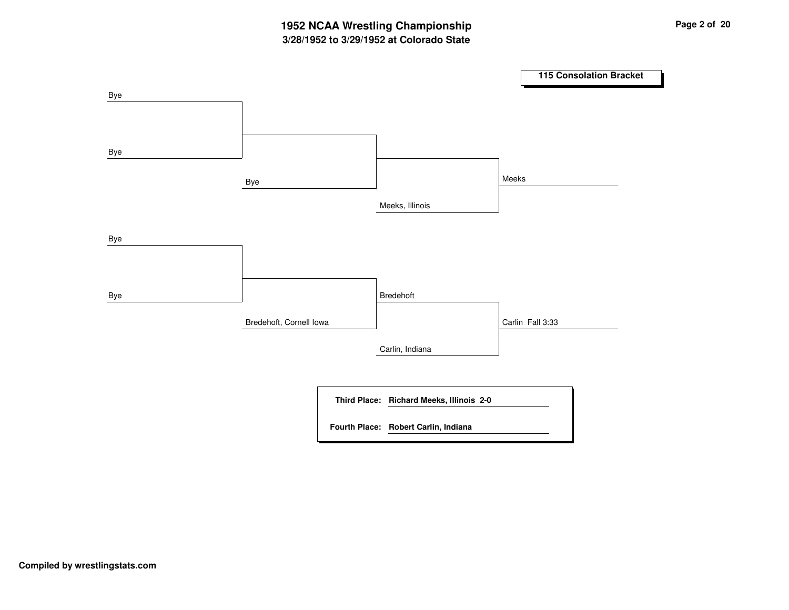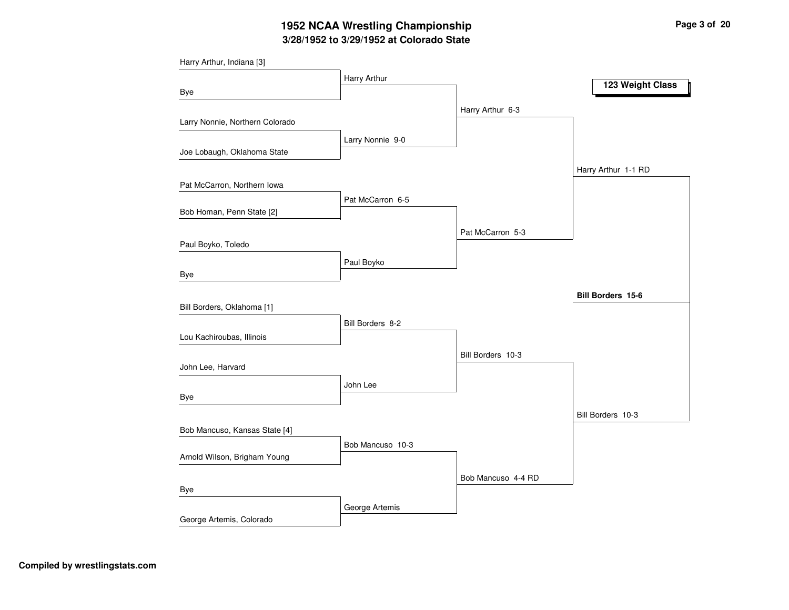# **3/28/1952 to 3/29/1952 at Colorado State 1952 NCAA Wrestling Championship Page <sup>3</sup> of <sup>20</sup>**

| Harry Arthur, Indiana [3]       |                  |                    |                          |
|---------------------------------|------------------|--------------------|--------------------------|
|                                 | Harry Arthur     |                    | 123 Weight Class         |
| Bye                             |                  |                    |                          |
|                                 |                  | Harry Arthur 6-3   |                          |
| Larry Nonnie, Northern Colorado |                  |                    |                          |
|                                 | Larry Nonnie 9-0 |                    |                          |
| Joe Lobaugh, Oklahoma State     |                  |                    |                          |
|                                 |                  |                    | Harry Arthur 1-1 RD      |
| Pat McCarron, Northern Iowa     |                  |                    |                          |
|                                 | Pat McCarron 6-5 |                    |                          |
| Bob Homan, Penn State [2]       |                  |                    |                          |
|                                 |                  | Pat McCarron 5-3   |                          |
| Paul Boyko, Toledo              |                  |                    |                          |
|                                 | Paul Boyko       |                    |                          |
| Bye                             |                  |                    |                          |
|                                 |                  |                    | <b>Bill Borders 15-6</b> |
| Bill Borders, Oklahoma [1]      |                  |                    |                          |
|                                 | Bill Borders 8-2 |                    |                          |
| Lou Kachiroubas, Illinois       |                  |                    |                          |
|                                 |                  | Bill Borders 10-3  |                          |
| John Lee, Harvard               |                  |                    |                          |
|                                 | John Lee         |                    |                          |
| Bye                             |                  |                    |                          |
|                                 |                  |                    | Bill Borders 10-3        |
| Bob Mancuso, Kansas State [4]   |                  |                    |                          |
|                                 | Bob Mancuso 10-3 |                    |                          |
| Arnold Wilson, Brigham Young    |                  |                    |                          |
|                                 |                  | Bob Mancuso 4-4 RD |                          |
| Bye                             |                  |                    |                          |
|                                 | George Artemis   |                    |                          |
| George Artemis, Colorado        |                  |                    |                          |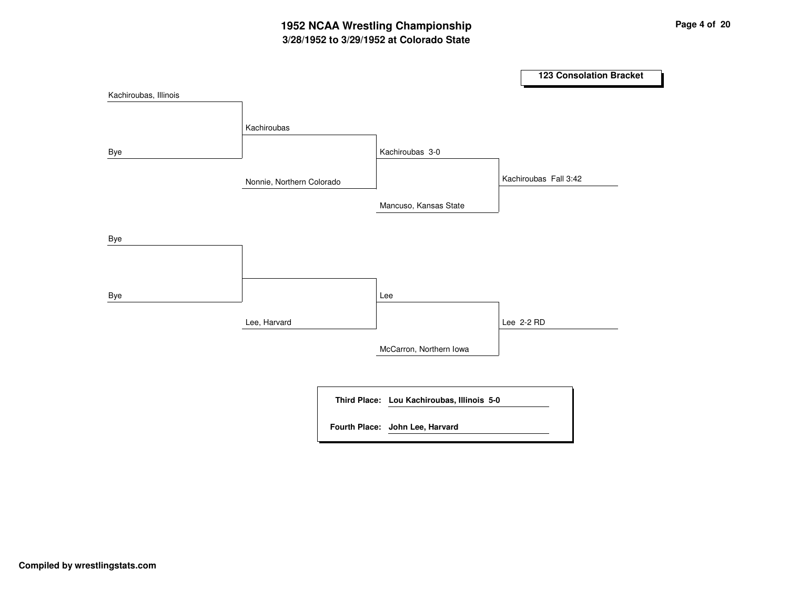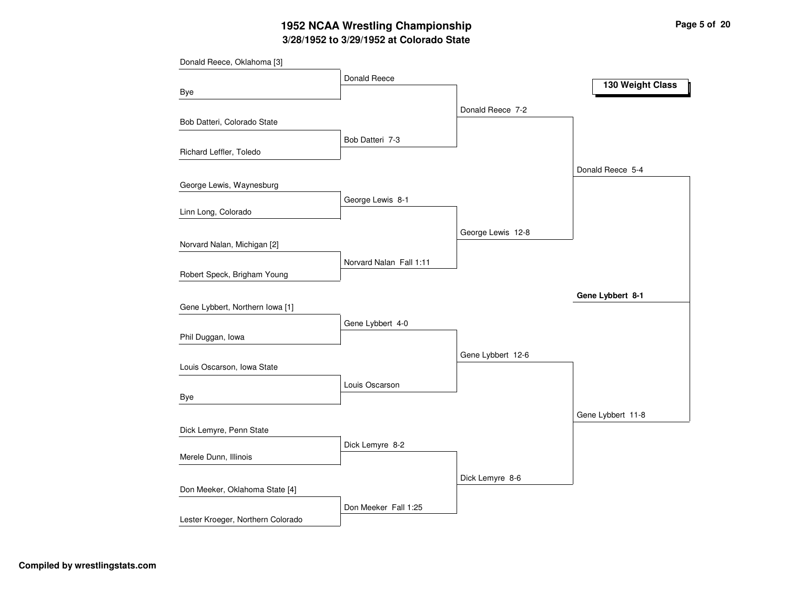# **3/28/1952 to 3/29/1952 at Colorado State 1952 NCAA Wrestling Championship Page <sup>5</sup> of <sup>20</sup>**

|                                   | Donald Reece            |                   |                   |
|-----------------------------------|-------------------------|-------------------|-------------------|
| Bye                               |                         |                   | 130 Weight Class  |
|                                   |                         | Donald Reece 7-2  |                   |
| Bob Datteri, Colorado State       |                         |                   |                   |
| Richard Leffler, Toledo           | Bob Datteri 7-3         |                   |                   |
|                                   |                         |                   | Donald Reece 5-4  |
| George Lewis, Waynesburg          |                         |                   |                   |
| Linn Long, Colorado               | George Lewis 8-1        |                   |                   |
|                                   |                         |                   |                   |
| Norvard Nalan, Michigan [2]       |                         | George Lewis 12-8 |                   |
| Robert Speck, Brigham Young       | Norvard Nalan Fall 1:11 |                   |                   |
|                                   |                         |                   |                   |
| Gene Lybbert, Northern Iowa [1]   |                         |                   | Gene Lybbert 8-1  |
|                                   | Gene Lybbert 4-0        |                   |                   |
| Phil Duggan, Iowa                 |                         |                   |                   |
|                                   |                         | Gene Lybbert 12-6 |                   |
| Louis Oscarson, Iowa State        |                         |                   |                   |
|                                   | Louis Oscarson          |                   |                   |
| Bye                               |                         |                   | Gene Lybbert 11-8 |
| Dick Lemyre, Penn State           |                         |                   |                   |
| Merele Dunn, Illinois             | Dick Lemyre 8-2         |                   |                   |
|                                   |                         |                   |                   |
| Don Meeker, Oklahoma State [4]    |                         | Dick Lemyre 8-6   |                   |
|                                   | Don Meeker Fall 1:25    |                   |                   |
| Lester Kroeger, Northern Colorado |                         |                   |                   |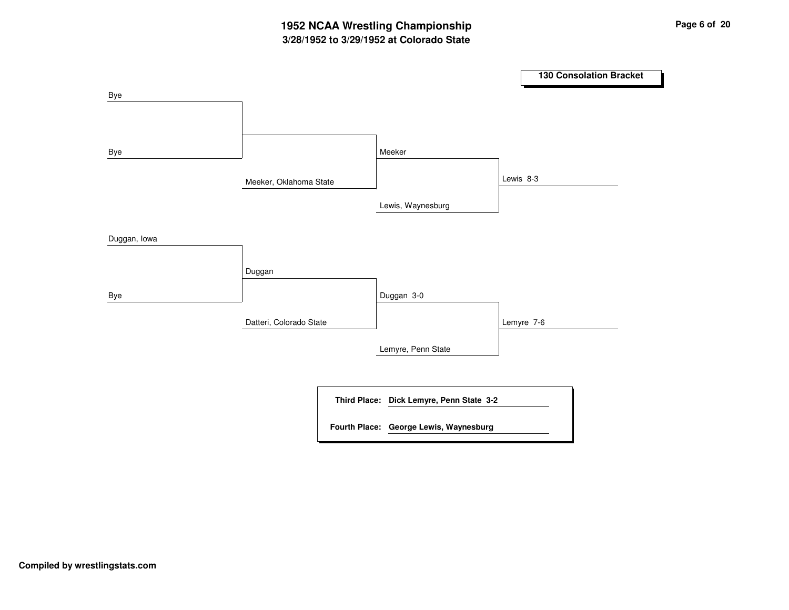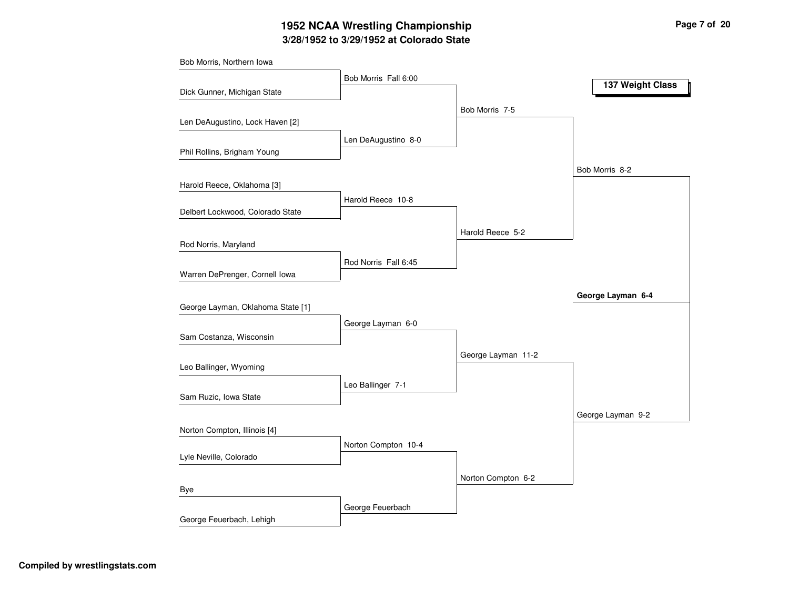# **3/28/1952 to 3/29/1952 at Colorado State 1952 NCAA Wrestling Championship Page <sup>7</sup> of <sup>20</sup>**

|                                   | Bob Morris Fall 6:00 |                    | 137 Weight Class  |
|-----------------------------------|----------------------|--------------------|-------------------|
| Dick Gunner, Michigan State       |                      |                    |                   |
|                                   |                      | Bob Morris 7-5     |                   |
| Len DeAugustino, Lock Haven [2]   |                      |                    |                   |
|                                   | Len DeAugustino 8-0  |                    |                   |
| Phil Rollins, Brigham Young       |                      |                    |                   |
|                                   |                      |                    | Bob Morris 8-2    |
| Harold Reece, Oklahoma [3]        |                      |                    |                   |
| Delbert Lockwood, Colorado State  | Harold Reece 10-8    |                    |                   |
|                                   |                      |                    |                   |
|                                   |                      | Harold Reece 5-2   |                   |
| Rod Norris, Maryland              |                      |                    |                   |
| Warren DePrenger, Cornell Iowa    | Rod Norris Fall 6:45 |                    |                   |
|                                   |                      |                    |                   |
| George Layman, Oklahoma State [1] |                      |                    | George Layman 6-4 |
|                                   | George Layman 6-0    |                    |                   |
| Sam Costanza, Wisconsin           |                      |                    |                   |
|                                   |                      | George Layman 11-2 |                   |
| Leo Ballinger, Wyoming            |                      |                    |                   |
|                                   | Leo Ballinger 7-1    |                    |                   |
| Sam Ruzic, Iowa State             |                      |                    |                   |
|                                   |                      |                    | George Layman 9-2 |
| Norton Compton, Illinois [4]      |                      |                    |                   |
|                                   | Norton Compton 10-4  |                    |                   |
| Lyle Neville, Colorado            |                      |                    |                   |
|                                   |                      | Norton Compton 6-2 |                   |
| Bye                               |                      |                    |                   |
|                                   | George Feuerbach     |                    |                   |
| George Feuerbach, Lehigh          |                      |                    |                   |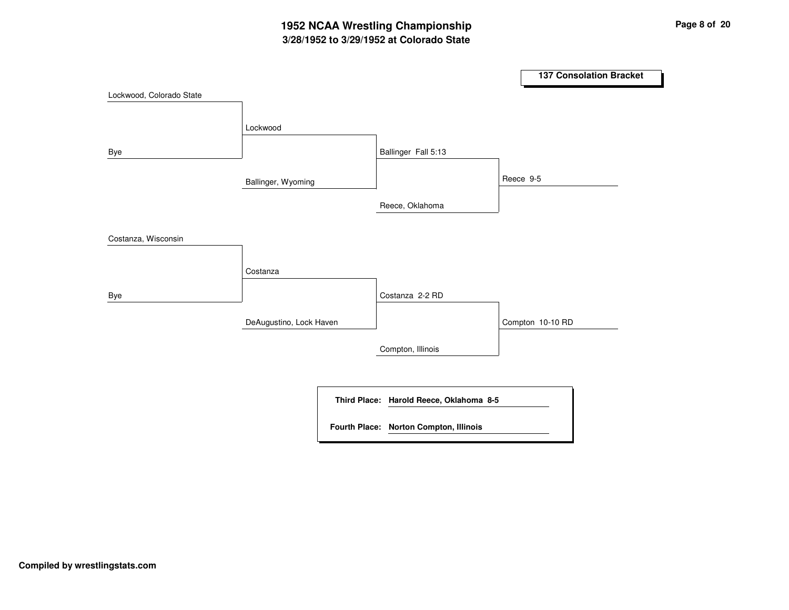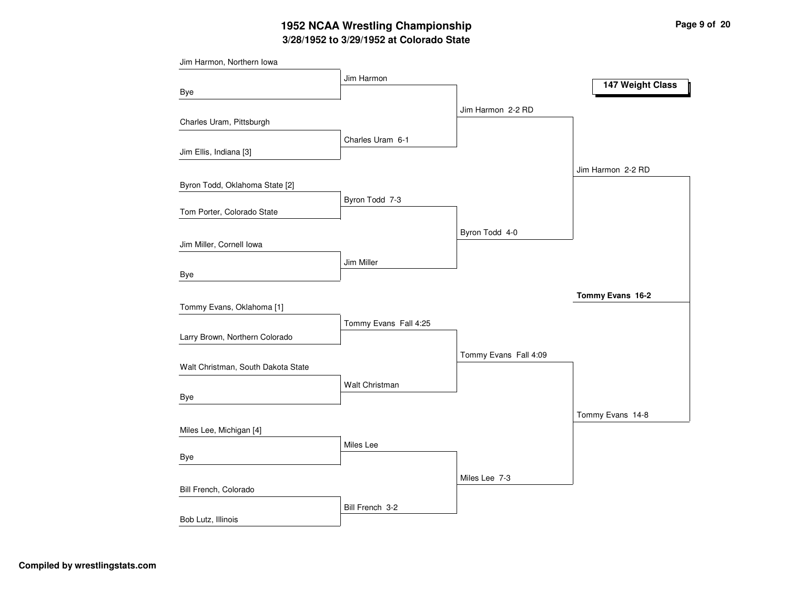# **3/28/1952 to 3/29/1952 at Colorado State 1952 NCAA Wrestling Championship Page <sup>9</sup> of <sup>20</sup>**

| Jim Harmon, Northern Iowa          |                       |                       |                   |
|------------------------------------|-----------------------|-----------------------|-------------------|
|                                    | Jim Harmon            |                       | 147 Weight Class  |
| Bye                                |                       |                       |                   |
|                                    |                       | Jim Harmon 2-2 RD     |                   |
| Charles Uram, Pittsburgh           |                       |                       |                   |
|                                    | Charles Uram 6-1      |                       |                   |
| Jim Ellis, Indiana [3]             |                       |                       |                   |
|                                    |                       |                       | Jim Harmon 2-2 RD |
| Byron Todd, Oklahoma State [2]     |                       |                       |                   |
| Tom Porter, Colorado State         | Byron Todd 7-3        |                       |                   |
|                                    |                       |                       |                   |
|                                    |                       | Byron Todd 4-0        |                   |
| Jim Miller, Cornell Iowa           |                       |                       |                   |
| Bye                                | Jim Miller            |                       |                   |
|                                    |                       |                       |                   |
|                                    |                       |                       | Tommy Evans 16-2  |
| Tommy Evans, Oklahoma [1]          | Tommy Evans Fall 4:25 |                       |                   |
| Larry Brown, Northern Colorado     |                       |                       |                   |
|                                    |                       |                       |                   |
| Walt Christman, South Dakota State |                       | Tommy Evans Fall 4:09 |                   |
|                                    | Walt Christman        |                       |                   |
| <b>Bye</b>                         |                       |                       |                   |
|                                    |                       |                       | Tommy Evans 14-8  |
| Miles Lee, Michigan [4]            |                       |                       |                   |
|                                    | Miles Lee             |                       |                   |
| Bye                                |                       |                       |                   |
|                                    |                       | Miles Lee 7-3         |                   |
| Bill French, Colorado              |                       |                       |                   |
|                                    | Bill French 3-2       |                       |                   |
| Bob Lutz, Illinois                 |                       |                       |                   |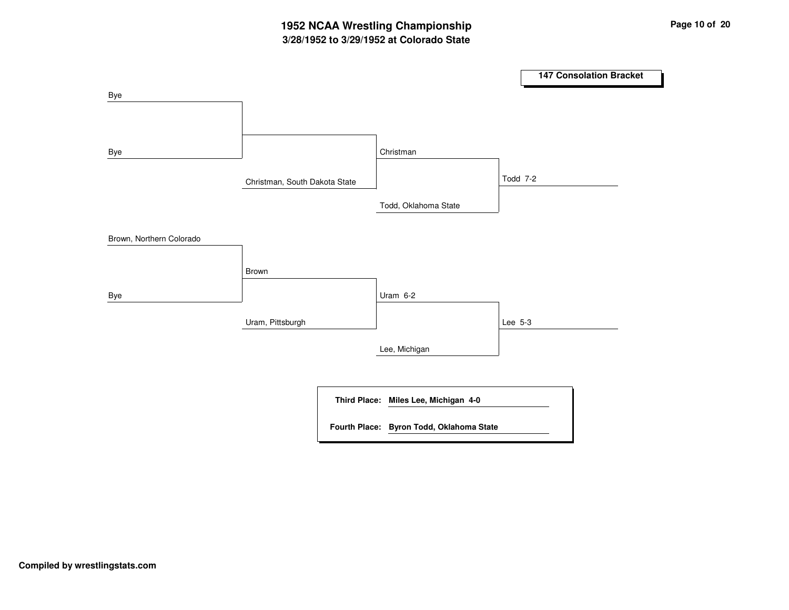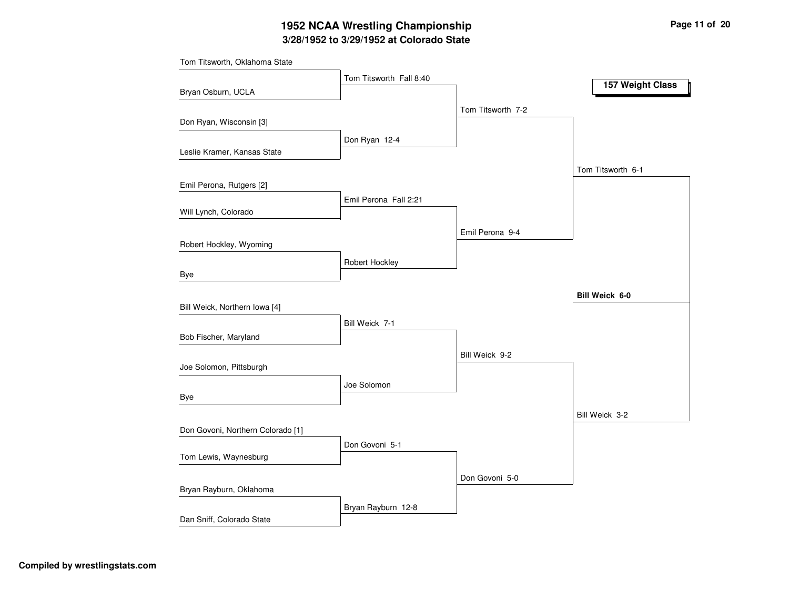# **3/28/1952 to 3/29/1952 at Colorado State 1952 NCAA Wrestling Championship Page <sup>11</sup> of <sup>20</sup>**

| Tom Titsworth, Oklahoma State     |                         |                   |                   |
|-----------------------------------|-------------------------|-------------------|-------------------|
|                                   | Tom Titsworth Fall 8:40 |                   | 157 Weight Class  |
| Bryan Osburn, UCLA                |                         |                   |                   |
|                                   |                         | Tom Titsworth 7-2 |                   |
| Don Ryan, Wisconsin [3]           |                         |                   |                   |
|                                   | Don Ryan 12-4           |                   |                   |
| Leslie Kramer, Kansas State       |                         |                   |                   |
|                                   |                         |                   | Tom Titsworth 6-1 |
| Emil Perona, Rutgers [2]          |                         |                   |                   |
|                                   | Emil Perona Fall 2:21   |                   |                   |
| Will Lynch, Colorado              |                         |                   |                   |
|                                   |                         | Emil Perona 9-4   |                   |
| Robert Hockley, Wyoming           |                         |                   |                   |
|                                   | Robert Hockley          |                   |                   |
| Bye                               |                         |                   |                   |
|                                   |                         |                   | Bill Weick 6-0    |
| Bill Weick, Northern Iowa [4]     |                         |                   |                   |
|                                   | Bill Weick 7-1          |                   |                   |
| Bob Fischer, Maryland             |                         |                   |                   |
|                                   |                         | Bill Weick 9-2    |                   |
| Joe Solomon, Pittsburgh           |                         |                   |                   |
|                                   | Joe Solomon             |                   |                   |
| Bye                               |                         |                   |                   |
|                                   |                         |                   | Bill Weick 3-2    |
| Don Govoni, Northern Colorado [1] |                         |                   |                   |
| Tom Lewis, Waynesburg             | Don Govoni 5-1          |                   |                   |
|                                   |                         |                   |                   |
|                                   |                         | Don Govoni 5-0    |                   |
| Bryan Rayburn, Oklahoma           |                         |                   |                   |
|                                   | Bryan Rayburn 12-8      |                   |                   |
| Dan Sniff, Colorado State         |                         |                   |                   |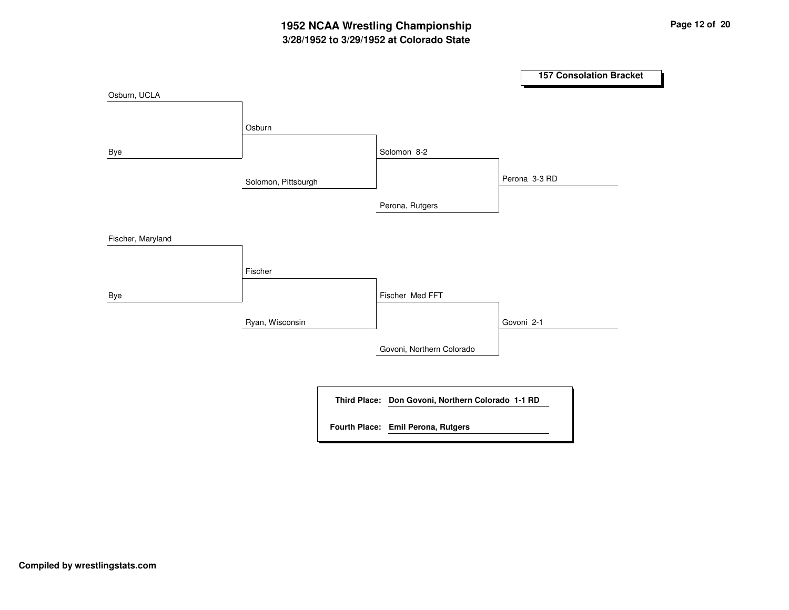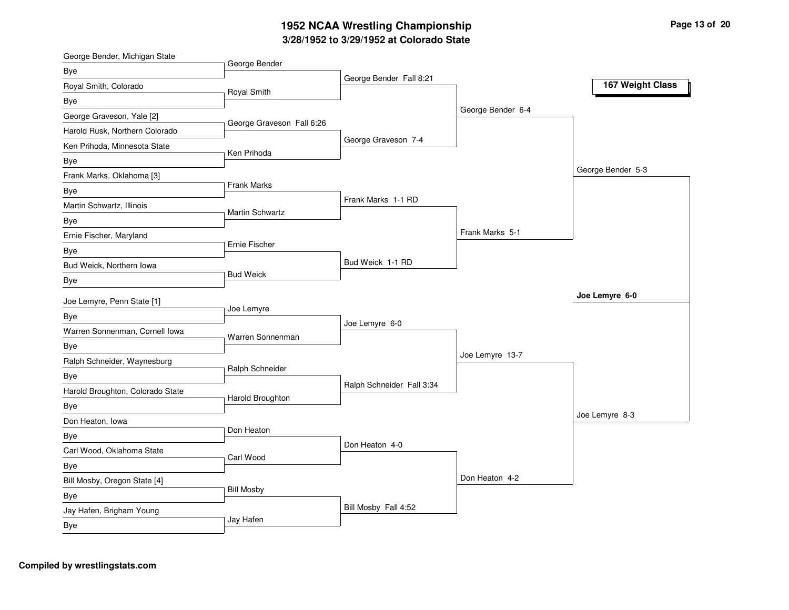#### **3/2 8/19 5 2 to 3/2 9/19 5 2 at C olora d o State 19 5 2 N C A A Wre stlin g C h a m pio n s hip**

| George Bender, Michigan State    |                           |                           |                   |                   |
|----------------------------------|---------------------------|---------------------------|-------------------|-------------------|
| Bye                              | George Bender             |                           |                   |                   |
| Royal Smith, Colorado            | Royal Smith               | George Bender Fall 8:21   |                   | 167 Weight Class  |
| Bye                              |                           |                           |                   |                   |
| George Graveson, Yale [2]        |                           |                           | George Bender 6-4 |                   |
| Harold Rusk, Northern Colorado   | George Graveson Fall 6:26 |                           |                   |                   |
| Ken Prihoda, Minnesota State     |                           | George Graveson 7-4       |                   |                   |
| Bye                              | Ken Prihoda               |                           |                   |                   |
| Frank Marks, Oklahoma [3]        |                           |                           |                   | George Bender 5-3 |
| Bye                              | Frank Marks               |                           |                   |                   |
| Martin Schwartz, Illinois        | Martin Schwartz           | Frank Marks 1-1 RD        |                   |                   |
| Bye                              |                           |                           |                   |                   |
| Ernie Fischer, Maryland          |                           |                           | Frank Marks 5-1   |                   |
| Bye                              | Ernie Fischer             |                           |                   |                   |
| Bud Weick, Northern Iowa         |                           | Bud Weick 1-1 RD          |                   |                   |
| Bye                              | <b>Bud Weick</b>          |                           |                   |                   |
| Joe Lemyre, Penn State [1]       |                           |                           |                   | Joe Lemyre 6-0    |
| <b>Bye</b>                       | Joe Lemyre                |                           |                   |                   |
| Warren Sonnenman, Cornell Iowa   |                           | Joe Lemyre 6-0            |                   |                   |
| Bye                              | Warren Sonnenman          |                           |                   |                   |
| Ralph Schneider, Waynesburg      |                           |                           | Joe Lemyre 13-7   |                   |
| <b>Bye</b>                       | Ralph Schneider           |                           |                   |                   |
| Harold Broughton, Colorado State |                           | Ralph Schneider Fall 3:34 |                   |                   |
| <b>Bye</b>                       | Harold Broughton          |                           |                   |                   |
| Don Heaton, Iowa                 |                           |                           |                   | Joe Lemyre 8-3    |
| Bye                              | Don Heaton                |                           |                   |                   |
| Carl Wood, Oklahoma State        |                           | Don Heaton 4-0            |                   |                   |
| <b>Bye</b>                       | Carl Wood                 |                           |                   |                   |
| Bill Mosby, Oregon State [4]     |                           |                           | Don Heaton 4-2    |                   |
|                                  | <b>Bill Mosby</b>         |                           |                   |                   |
| Bye<br>Jay Hafen, Brigham Young  |                           | Bill Mosby Fall 4:52      |                   |                   |
| Bye                              | Jay Hafen                 |                           |                   |                   |
|                                  |                           |                           |                   |                   |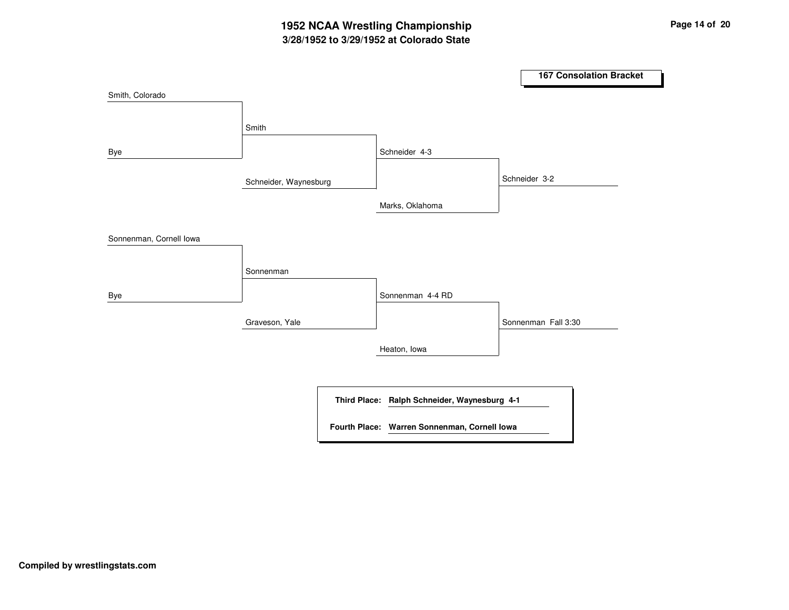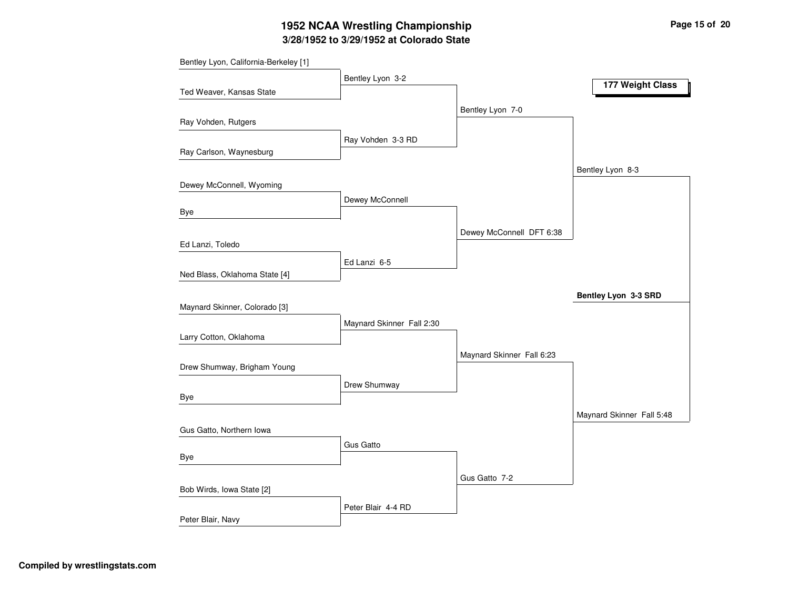# **3/28/1952 to 3/29/1952 at Colorado State 1952 NCAA Wrestling Championship Page <sup>15</sup> of <sup>20</sup>**

| Bentley Lyon, California-Berkeley [1] |                           |                           |                           |
|---------------------------------------|---------------------------|---------------------------|---------------------------|
|                                       | Bentley Lyon 3-2          |                           | 177 Weight Class          |
| Ted Weaver, Kansas State              |                           |                           |                           |
|                                       |                           | Bentley Lyon 7-0          |                           |
| Ray Vohden, Rutgers                   |                           |                           |                           |
|                                       | Ray Vohden 3-3 RD         |                           |                           |
| Ray Carlson, Waynesburg               |                           |                           |                           |
|                                       |                           |                           | Bentley Lyon 8-3          |
| Dewey McConnell, Wyoming              |                           |                           |                           |
|                                       | Dewey McConnell           |                           |                           |
| Bye                                   |                           |                           |                           |
|                                       |                           | Dewey McConnell DFT 6:38  |                           |
| Ed Lanzi, Toledo                      |                           |                           |                           |
|                                       | Ed Lanzi 6-5              |                           |                           |
| Ned Blass, Oklahoma State [4]         |                           |                           |                           |
|                                       |                           |                           | Bentley Lyon 3-3 SRD      |
| Maynard Skinner, Colorado [3]         |                           |                           |                           |
|                                       | Maynard Skinner Fall 2:30 |                           |                           |
| Larry Cotton, Oklahoma                |                           |                           |                           |
|                                       |                           | Maynard Skinner Fall 6:23 |                           |
| Drew Shumway, Brigham Young           |                           |                           |                           |
|                                       | Drew Shumway              |                           |                           |
| Bye                                   |                           |                           |                           |
|                                       |                           |                           | Maynard Skinner Fall 5:48 |
| Gus Gatto, Northern Iowa              |                           |                           |                           |
|                                       | <b>Gus Gatto</b>          |                           |                           |
| Bye                                   |                           |                           |                           |
|                                       |                           | Gus Gatto 7-2             |                           |
| Bob Wirds, Iowa State [2]             |                           |                           |                           |
|                                       | Peter Blair 4-4 RD        |                           |                           |
| Peter Blair, Navy                     |                           |                           |                           |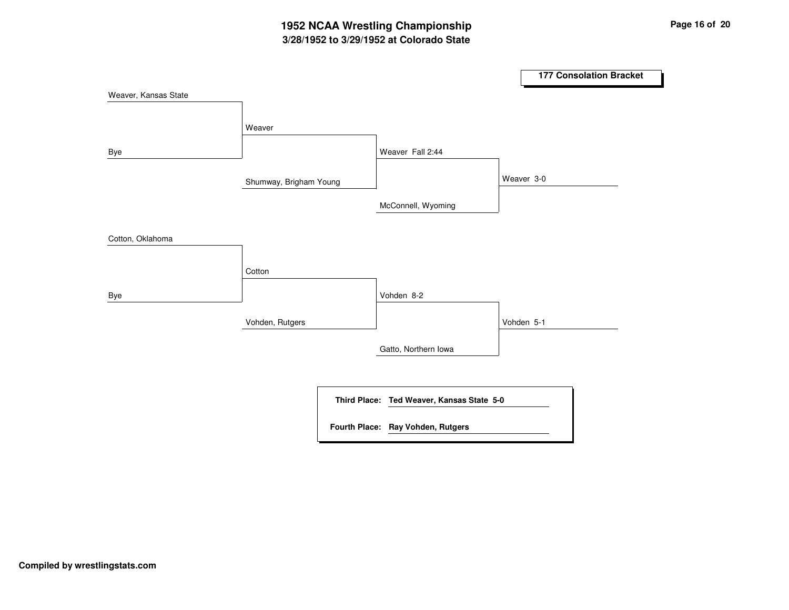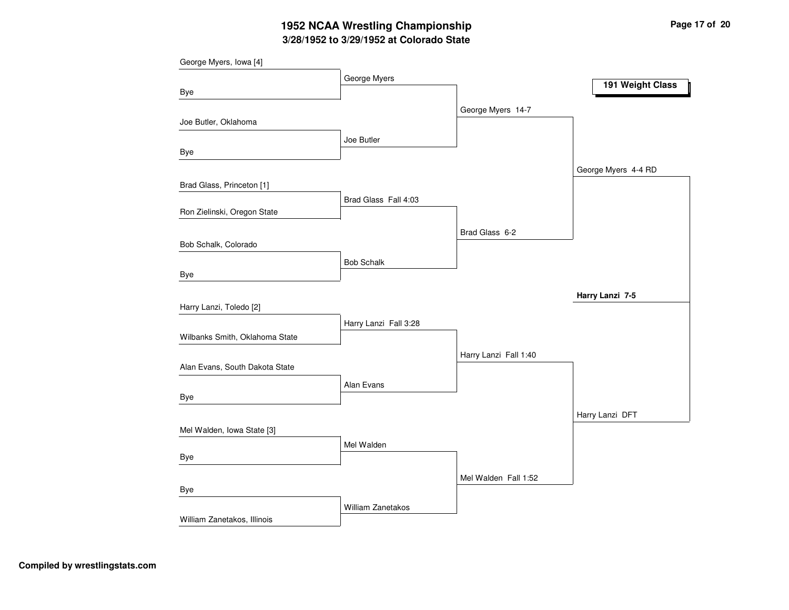# **3/28/1952 to 3/29/1952 at Colorado State 1952 NCAA Wrestling Championship Page <sup>17</sup> of <sup>20</sup>**

|                                | George Myers          |                       |                     |
|--------------------------------|-----------------------|-----------------------|---------------------|
| Bye                            |                       |                       | 191 Weight Class    |
|                                |                       | George Myers 14-7     |                     |
| Joe Butler, Oklahoma           |                       |                       |                     |
| Bye                            | Joe Butler            |                       |                     |
|                                |                       |                       | George Myers 4-4 RD |
| Brad Glass, Princeton [1]      |                       |                       |                     |
| Ron Zielinski, Oregon State    | Brad Glass Fall 4:03  |                       |                     |
|                                |                       | Brad Glass 6-2        |                     |
| Bob Schalk, Colorado           |                       |                       |                     |
|                                | <b>Bob Schalk</b>     |                       |                     |
| Bye                            |                       |                       |                     |
| Harry Lanzi, Toledo [2]        |                       |                       | Harry Lanzi 7-5     |
|                                | Harry Lanzi Fall 3:28 |                       |                     |
| Wilbanks Smith, Oklahoma State |                       |                       |                     |
|                                |                       | Harry Lanzi Fall 1:40 |                     |
| Alan Evans, South Dakota State |                       |                       |                     |
|                                | Alan Evans            |                       |                     |
| Bye                            |                       |                       |                     |
|                                |                       |                       | Harry Lanzi DFT     |
| Mel Walden, Iowa State [3]     |                       |                       |                     |
| Bye                            | Mel Walden            |                       |                     |
|                                |                       |                       |                     |
| Bye                            |                       | Mel Walden Fall 1:52  |                     |
|                                | William Zanetakos     |                       |                     |
| William Zanetakos, Illinois    |                       |                       |                     |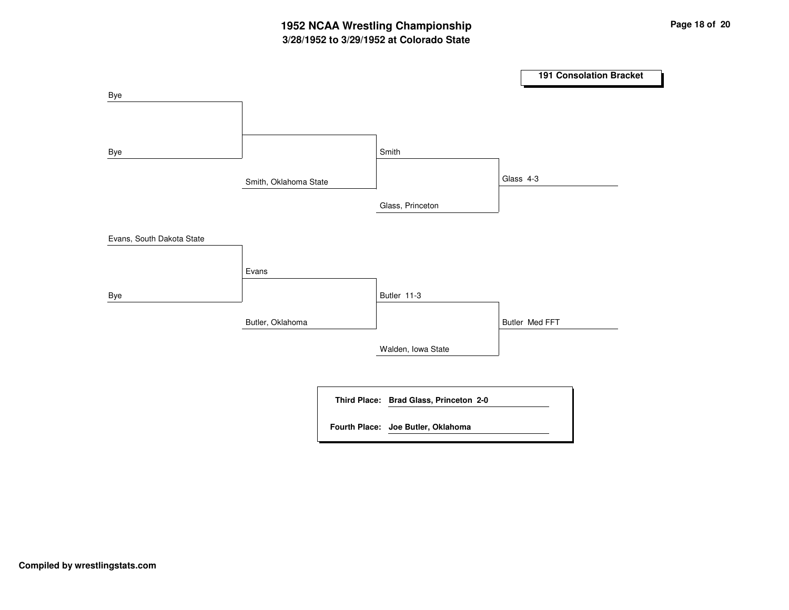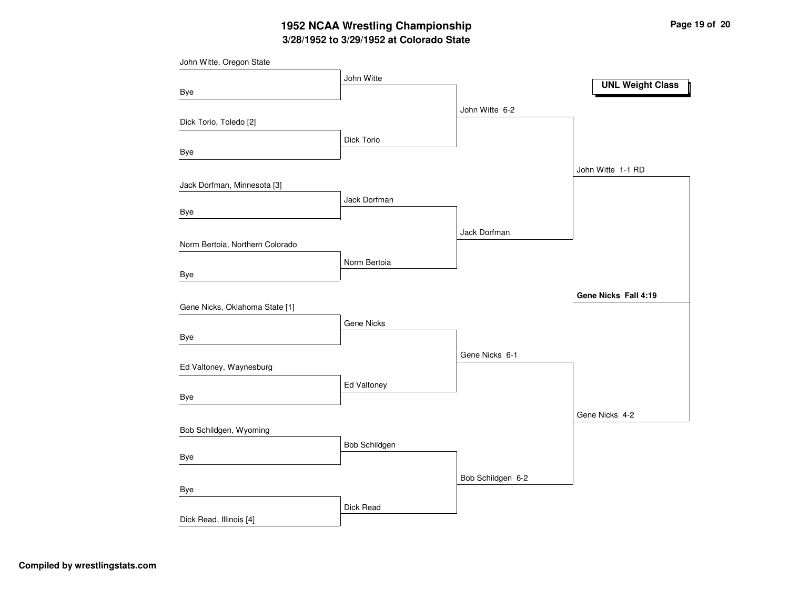# **3/28/1952 to 3/29/1952 at Colorado State 1952 NCAA Wrestling Championship Page <sup>19</sup> of <sup>20</sup>**

| John Witte, Oregon State        |                   |                   |                         |
|---------------------------------|-------------------|-------------------|-------------------------|
|                                 | John Witte        |                   | <b>UNL Weight Class</b> |
| Bye                             |                   |                   |                         |
|                                 |                   | John Witte 6-2    |                         |
| Dick Torio, Toledo [2]          |                   |                   |                         |
|                                 | Dick Torio        |                   |                         |
| <b>Bye</b>                      |                   |                   |                         |
|                                 |                   |                   | John Witte 1-1 RD       |
| Jack Dorfman, Minnesota [3]     |                   |                   |                         |
|                                 | Jack Dorfman      |                   |                         |
| Bye                             |                   |                   |                         |
|                                 |                   | Jack Dorfman      |                         |
| Norm Bertoia, Northern Colorado |                   |                   |                         |
|                                 | Norm Bertoia      |                   |                         |
| Bye                             |                   |                   |                         |
|                                 |                   |                   | Gene Nicks Fall 4:19    |
| Gene Nicks, Oklahoma State [1]  |                   |                   |                         |
|                                 | <b>Gene Nicks</b> |                   |                         |
| Bye                             |                   |                   |                         |
|                                 |                   | Gene Nicks 6-1    |                         |
| Ed Valtoney, Waynesburg         |                   |                   |                         |
|                                 | Ed Valtoney       |                   |                         |
| Bye                             |                   |                   |                         |
|                                 |                   |                   | Gene Nicks 4-2          |
| Bob Schildgen, Wyoming          |                   |                   |                         |
| Bye                             | Bob Schildgen     |                   |                         |
|                                 |                   |                   |                         |
|                                 |                   | Bob Schildgen 6-2 |                         |
| Bye                             |                   |                   |                         |
|                                 | Dick Read         |                   |                         |
| Dick Read, Illinois [4]         |                   |                   |                         |